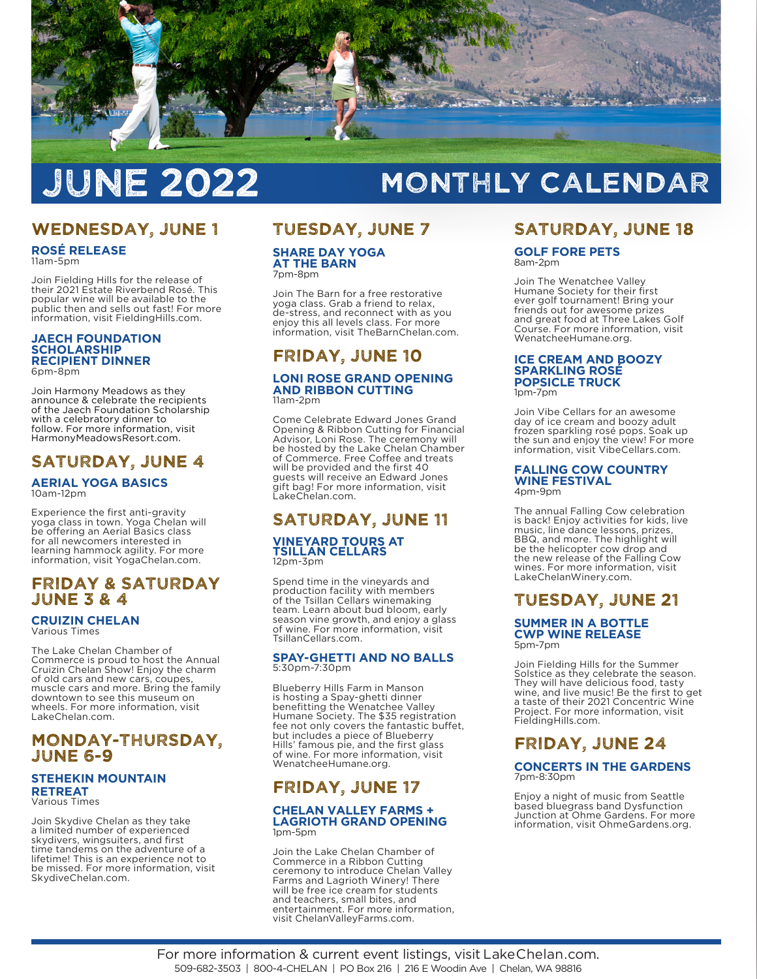

# JUNE 2022

## MONTHLY CALENDAR

## WEDNESDAY, JUNE 1

**ROSÉ RELEASE**  11am-5pm

Join Fielding Hills for the release of their 2021 Estate Riverbend Rosé. This popular wine will be available to the public then and sells out fast! For more information, visit FieldingHills.com.

#### **JAECH FOUNDATION SCHOLARSHIP RECIPIENT DINNER**  6pm-8pm

Join Harmony Meadows as they announce & celebrate the recipients of the Jaech Foundation Scholarship with a celebratory dinner to follow. For more information, visit HarmonyMeadowsResort.com.

## SATURDAY, JUNE 4

## **AERIAL YOGA BASICS**  10am-12pm

Experience the first anti-gravity yoga class in town. Yoga Chelan will be offering an Aerial Basics class for all newcomers interested in learning hammock agility. For more information, visit YogaChelan.com.

### FRIDAY & SATURDAY JUNE 3 & 4

**CRUIZIN CHELAN** 

Various Times

The Lake Chelan Chamber of Commerce is proud to host the Annual Cruizin Chelan Show! Enjoy the charm of old cars and new cars, coupes, muscle cars and more. Bring the family downtown to see this museum on wheels. For more information, visit LakeChelan.com.

### MONDAY-THURSDAY, JUNE 6-9

#### **STEHEKIN MOUNTAIN RETREAT**  Various Times

Join Skydive Chelan as they take a limited number of experienced skydivers, wingsuiters, and first time tandems on the adventure of a lifetime! This is an experience not to be missed. For more information, visit SkydiveChelan.com.

## TUESDAY, JUNE 7

**SHARE DAY YOGA AT THE BARN**  7pm-8pm

Join The Barn for a free restorative yoga class. Grab a friend to relax, de-stress, and reconnect with as you enjoy this all levels class. For more information, visit TheBarnChelan.com.

## FRIDAY, JUNE 10

#### **LONI ROSE GRAND OPENING AND RIBBON CUTTING**  11am-2pm

Come Celebrate Edward Jones Grand Opening & Ribbon Cutting for Financial Advisor, Loni Rose. The ceremony will be hosted by the Lake Chelan Chamber of Commerce. Free Coffee and treats will be provided and the first 40 guests will receive an Edward Jones gift bag! For more information, visit LakeChelan.com.

## SATURDAY, JUNE 11

#### **VINEYARD TOURS AT TSILLAN CELLARS**  12pm-3pm

Spend time in the vineyards and production facility with members of the Tsillan Cellars winemaking team. Learn about bud bloom, early season vine growth, and enjoy a glass of wine. For more information, visit TsillanCellars.com.

#### **SPAY-GHETTI AND NO BALLS**  5:30pm-7:30pm

Blueberry Hills Farm in Manson is hosting a Spay-ghetti dinner benefitting the Wenatchee Valley Humane Society. The \$35 registration fee not only covers the fantastic buffet, but includes a piece of Blueberry Hills' famous pie, and the first glass of wine. For more information, visit WenatcheeHumane.org.

## FRIDAY, JUNE 17

#### **CHELAN VALLEY FARMS + LAGRIOTH GRAND OPENING**  1pm-5pm

Join the Lake Chelan Chamber of Commerce in a Ribbon Cutting ceremony to introduce Chelan Valley Farms and Lagrioth Winery! There will be free ice cream for students and teachers, small bites, and entertainment. For more information, visit ChelanValleyFarms.com.

## SATURDAY, JUNE 18

#### **GOLF FORE PETS**  8am-2pm

Join The Wenatchee Valley Humane Society for their first ever golf tournament! Bring your friends out for awesome prizes and great food at Three Lakes Golf Course. For more information, visit WenatcheeHumane.org.

#### **ICE CREAM AND BOOZY SPARKLING ROSÉ POPSICLE TRUCK**  1pm-7pm

Join Vibe Cellars for an awesome day of ice cream and boozy adult frozen sparkling rosé pops. Soak up the sun and enjoy the view! For more information, visit VibeCellars.com.

#### **FALLING COW COUNTRY WINE FESTIVAL**  4pm-9pm

The annual Falling Cow celebration is back! Enjoy activities for kids, live music, line dance lessons, prizes, BBQ, and more. The highlight will be the helicopter cow drop and the new release of the Falling Cow wines. For more information, visit LakeChelanWinery.com.

## TUESDAY, JUNE 21

#### **SUMMER IN A BOTTLE CWP WINE RELEASE**  5pm-7pm

Join Fielding Hills for the Summer Solstice as they celebrate the season. They will have delicious food, tasty wine, and live music! Be the first to get a taste of their 2021 Concentric Wine Project. For more information, visit FieldingHills.com.

## FRIDAY, JUNE 24

#### **CONCERTS IN THE GARDENS**  7pm-8:30pm

Enjoy a night of music from Seattle based bluegrass band Dysfunction Junction at Ohme Gardens. For more information, visit OhmeGardens.org.